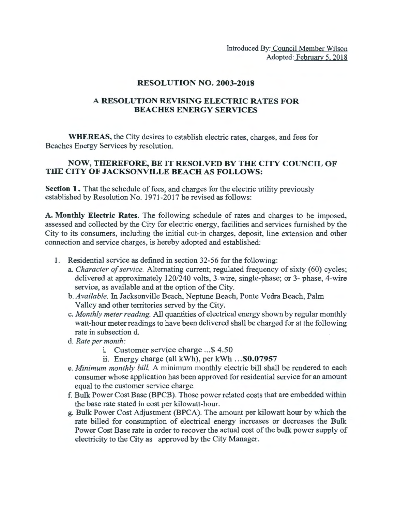## RESOLUTION NO. 2003-2018

# A RESOLUTION REVISING ELECTRIC RATES FOR BEACHES ENERGY SERVICES

WHEREAS, the City desires to establish electric rates, charges, and fees for Beaches Energy Services by resolution.

### NOW, THEREFORE, BE IT RESOLVED BY THE CITY COUNCIL OF THE CITY OF JACKSONVILLE BEACH AS FOLLOWS:

Section 1. That the schedule of fees, and charges for the electric utility previously established by Resolution No. 1971-2017 be revised as follows:

A. Monthly Electric Rates. The following schedule of rates and charges to be imposed, assessed and collected by the City for electric energy, facilities and services furnished by the City to its consumers, including the initial cut-in charges, deposit, line extension and other connection and service charges, is hereby adopted and established:

- 1. Residential service as defined in section 32-56 for the following:
	- a. *Character of service*. Alternating current; regulated frequency of sixty (60) cycles; delivered at approximately 120/240 volts, 3-wire, single-phase; or 3- phase, 4-wire service, as available and at the option of the City.
	- b. *Available.* In Jacksonville Beach, Neptune Beach, Ponte Vedra Beach, Palm Valley and other territories served by the City.
	- c. *Monthly meter reading.* All quantities of electrical energy shown by regular monthly watt-hour meter readings to have been delivered shall be charged for at the following rate in subsection d.
	- d. *Rate per month:* 
		- i. Customer service charge ... \$ 4.50
		- ii. Energy charge (all kWh), per kWh ...\$0.07957
	- e. *Minimum monthly bill.* A minimum monthly electric bill shall be rendered to each consumer whose application has been approved for residential service for an amount equal to the customer service charge.
	- f. Bulk Power Cost Base (BPCB). Those power related costs that are embedded within the base rate stated in cost per kilowatt-hour.
	- g. Bulk Power Cost Adjustment (BPCA). The amount per kilowatt hour by which the rate billed for consumption of electrical energy increases or decreases the Bulk Power Cost Base rate in order to recover the actual cost of the bulk power supply of electricity to the City as approved by the City Manager.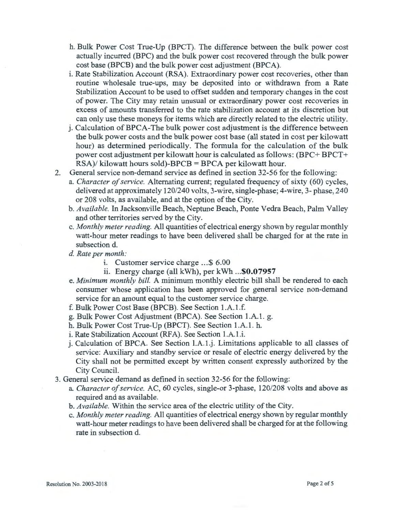- h. Bulk Power Cost True-Up (BPCT). The difference between the bulk power cost actually incurred (BPC) and the bulk power cost recovered through the bulk power cost base (BPCB) and the bulk power cost adjustment (BPCA).
- i. Rate Stabilization Account (RSA). Extraordinary power cost recoveries, other than routine wholesale true-ups, may be deposited into or withdrawn from a Rate Stabilization Account to be used to offset sudden and temporary changes in the cost of power. The City may retain unusual or extraordinary power cost recoveries in excess of amounts transferred to the rate stabilization account at its discretion but can only use these moneys for items which are directly related to the electric utility.
- j. Calculation of BPCA-The bulk power cost adjustment is the difference between the bulk power costs and the bulk power cost base (all stated in cost per kilowatt hour) as determined periodically. The formula for the calculation of the bulk power cost adjustment per kilowatt hour is calculated as follows: (BPC+ BPCT+ RSA)/ kilowatt hours sold)-BPCB = BPCA per kilowatt hour.
- 2. General service non-demand service as defined in section 32-56 for the following:
	- a. *Character of service.* Alternating current; regulated frequency of sixty (60) cycles, delivered at approximately 120/240 volts, 3-wire, single-phase; 4-wire, 3- phase, 240 or 208 volts, as available, and at the option of the City.
	- b. *Available.* In Jacksonville Beach, Neptune Beach, Ponte Vedra Beach, Palm Valley and other territories served by the City.
	- c. *Monthly meter reading.* All quantities of electrical energy shown by regular monthly watt-hour meter readings to have been delivered shall be charged for at the rate in subsection d.
	- d. *Rate per month:* 
		- i. Customer service charge ... \$ 6.00
		- ii. Energy charge (all kWh), per kWh ...\$0.07957
	- e. *Minimum monthly bill.* A minimum monthly electric bill shall be rendered to each consumer whose application has been approved for general service non-demand service for an amount equal to the customer service charge.
	- f. Bulk Power Cost Base (BPCB). See Section l.A.l.f.
	- g. Bulk Power Cost Adjustment (BPCA). See Section l.A.l. g.
	- h. Bulk Power Cost True-Up (BPCT). See Section l.A.l. h.
	- i. Rate Stabilization Account (RFA). See Section 1.A.1.i.
	- j. Calculation of BPCA. See Section l.A.l.j. Limitations applicable to all classes of service: Auxiliary and standby service or resale of electric energy delivered by the City shall not be permitted except by written consent expressly authorized by the City Council.
- 3. General service demand as defined in section 32-56 for the following:
	- a. *Character of service.* AC, 60 cycles, single-or 3-phase, 120/208 volts and above as required and as available.
	- b. *Available.* Within the service area of the electric utility of the City.
	- c. *Monthly meter reading.* All quantities of electrical energy shown by regular monthly watt-hour meter readings to have been delivered shall be charged for at the following rate in subsection d.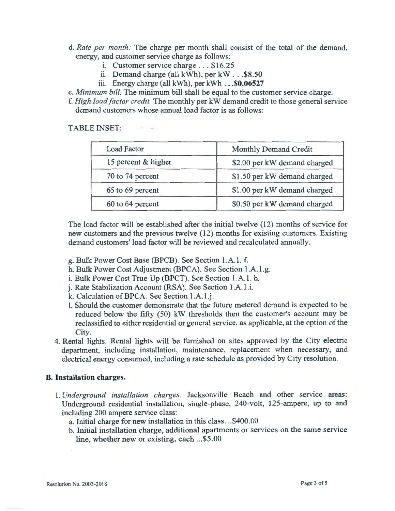- d. *Rate per month*: The charge per month shall consist of the total of the demand, energy, and customer service charge as follows:
	- i. Customer service charge ... \$16.25
	- ii. Demand charge (all kWh), per kW ... \$8.50
	- iii. Energy charge (all kWh), per kWh .. **. \$0.06527**

e. *Minimum bill.* The minimum bill shall be equal to the customer service charge.

f. *High load factor credit.* The monthly per kW demand credit to those general service demand customers whose annual load factor is as follows:

TABLE INSET:

| <b>Load Factor</b>  | Monthly Demand Credit        |
|---------------------|------------------------------|
| 15 percent & higher | \$2.00 per kW demand charged |
| 70 to 74 percent    | \$1.50 per kW demand charged |
| 65 to 69 percent    | \$1.00 per kW demand charged |
| 60 to 64 percent    | \$0.50 per kW demand charged |

The load factor will be established after the initial twelve (12) months of service for new customers and the previous twelve (12) months for existing customers. Existing demand customers' load factor will be reviewed and recalculated annually.

- g. Bulk Power Cost Base (BPCB). See Section 1.A.1. f.
- h. Bulk Power Cost Adjustment (BPCA). See Section 1.A.1.g.
- i. Bulk Power Cost True-Up (BPCT). See Section l.A.l. h.
- j. Rate Stabilization Account (RSA). See Section 1.A.1.i.
- k. Calculation of BPCA. See Section 1.A.1 .j.
- 1. Should the customer demonstrate that the future metered demand is expected to be reduced below the fifty (50) kW thresholds then the customer's account may be reclassified to either residential or general service, as applicable, at the option of the City.
- 4. Rental lights. Rental lights will be furnished on sites approved by the City electric department, including installation, maintenance, replacement when necessary, and electrical energy consumed, including a rate schedule as provided by City resolution.

### **B. Installation charges.**

- 1. *Underground installation charges.* Jacksonville Beach and other service areas: Underground residential installation, single-phase, 240-volt, 125-ampere, up to and including 200 ampere service class:
	- a. Initial charge for new installation in this class ... \$400.00
	- b. Initial installation charge, additional apartments or services on the same service line, whether new or existing, each ... \$5.00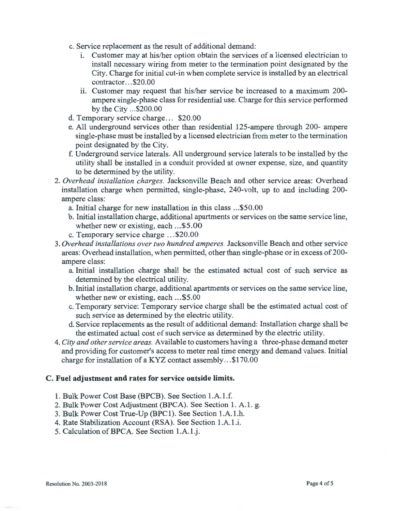- c. Service replacement as the result of additional demand:
	- 1. Customer may at his/her option obtain the services of a licensed electrician to install necessary wiring from meter to the termination point designated by the City. Charge for initial cut-in when complete service is installed by an electrical contractor...\$20.00
	- ii. Customer may request that his/her service be increased to a maximum 200ampere single-phase class for residential use. Charge for this service performed by the City ... \$200.00
- d. Temporary service charge... \$20.00
- e. All underground services other than residential 125-ampere through 200- ampere single-phase must be installed by a licensed electrician from meter to the termination point designated by the City.
- f. Underground service laterals. All underground service laterals to be installed by the utility shall be installed in a conduit provided at owner expense, size, and quantity to be determined by the utility.
- 2. *Overhead installation charges.* Jacksonville Beach and other service areas: Overhead installation charge when permitted, single-phase, 240-volt, up to and including 200 ampere class:
	- a. Initial charge for new installation in this class .. . \$50.00
	- b. Initial installation charge, additional apartments or services on the same service line, whether new or existing, each ... \$5.00
	- c. Temporary service charge ... \$20.00
- 3. *Overhead installations over two hundred amperes.* Jacksonville Beach and other service areas: Overhead installation, when permitted, other than single-phase or in excess of 200 ampere class:
	- a. Initial installation charge shall be the estimated actual cost of such service as determined by the electrical utility.
	- b. Initial installation charge, additional apartments or services on the same service line, whether new or existing, each ... \$5.00
	- c. Temporary service: Temporary service charge shall be the estimated actual cost of such service as determined by the electric utility.
	- d. Service replacements as the result of additional demand: Installation charge shall be the estimated actual cost of such service as determined by the electric utility.
- 4. *City and other service areas.* Available to customers having a three-phase demand meter and providing for customer's access to meter real time energy and demand values. Initial charge for installation of a KYZ contact assembly .. . \$170.00

#### C. Fuel adjustment and rates for service outside limits.

- 1. Bulk Power Cost Base (BPCB). See Section 1.A.1.f.
- 2. Bulk Power Cost Adjustment (BPCA). See Section 1. A.l . g.
- 3. Bulk Power Cost True-Up (BPC1). See Section l .A.l.h.
- 4. Rate Stabilization Account (RSA). See Section l.A.l.i.
- 5. Calculation of BPCA. See Section l.A.l.j.